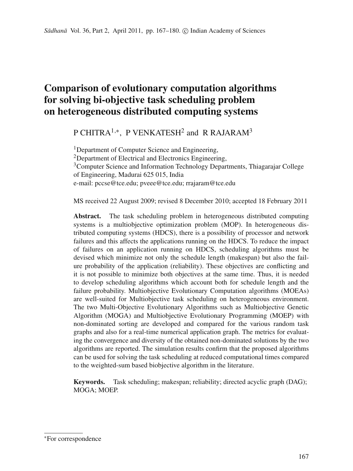# **Comparison of evolutionary computation algorithms for solving bi-objective task scheduling problem on heterogeneous distributed computing systems**

# P CHITRA<sup>1,∗</sup>, P VENKATESH<sup>2</sup> and R RAJARAM<sup>3</sup>

<sup>1</sup>Department of Computer Science and Engineering, <sup>2</sup>Department of Electrical and Electronics Engineering, 3Computer Science and Information Technology Departments, Thiagarajar College of Engineering, Madurai 625 015, India e-mail: pccse@tce.edu; pveee@tce.edu; rrajaram@tce.edu

MS received 22 August 2009; revised 8 December 2010; accepted 18 February 2011

**Abstract.** The task scheduling problem in heterogeneous distributed computing systems is a multiobjective optimization problem (MOP). In heterogeneous distributed computing systems (HDCS), there is a possibility of processor and network failures and this affects the applications running on the HDCS. To reduce the impact of failures on an application running on HDCS, scheduling algorithms must be devised which minimize not only the schedule length (makespan) but also the failure probability of the application (reliability). These objectives are conflicting and it is not possible to minimize both objectives at the same time. Thus, it is needed to develop scheduling algorithms which account both for schedule length and the failure probability. Multiobjective Evolutionary Computation algorithms (MOEAs) are well-suited for Multiobjective task scheduling on heterogeneous environment. The two Multi-Objective Evolutionary Algorithms such as Multiobjective Genetic Algorithm (MOGA) and Multiobjective Evolutionary Programming (MOEP) with non-dominated sorting are developed and compared for the various random task graphs and also for a real-time numerical application graph. The metrics for evaluating the convergence and diversity of the obtained non-dominated solutions by the two algorithms are reported. The simulation results confirm that the proposed algorithms can be used for solving the task scheduling at reduced computational times compared to the weighted-sum based biobjective algorithm in the literature.

**Keywords.** Task scheduling; makespan; reliability; directed acyclic graph (DAG); MOGA; MOEP.

<sup>∗</sup>For correspondence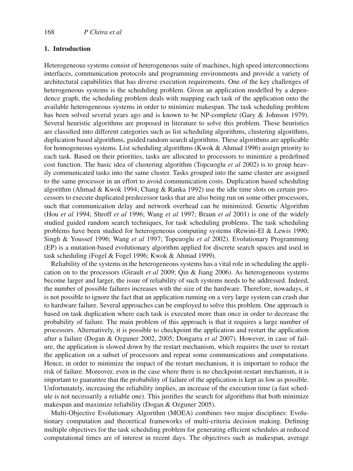# **1. Introduction**

Heterogeneous systems consist of heterogeneous suite of machines, high speed interconnections interfaces, communication protocols and programming environments and provide a variety of architectural capabilities that has diverse execution requirements. One of the key challenges of heterogeneous systems is the scheduling problem. Given an application modelled by a dependence graph, the scheduling problem deals with mapping each task of the application onto the available heterogeneous systems in order to minimize makespan. The task scheduling problem has been solved several years ago and is known to be NP-complete (Gary & Johnson 1979). Several heuristic algorithms are proposed in literature to solve this problem. These heuristics are classified into different categories such as list scheduling algorithms, clustering algorithms, duplication based algorithms, guided random search algorithms. These algorithms are applicable for homogeneous systems. List scheduling algorithms (Kwok & Ahmad 1996) assign priority to each task. Based on their priorities, tasks are allocated to processors to minimize a predefined cost function. The basic idea of clustering algorithm (Topcuoglu *et al* 2002) is to group heavily communicated tasks into the same cluster. Tasks grouped into the same cluster are assigned to the same processor in an effort to avoid communication costs. Duplication based scheduling algorithm (Ahmad & Kwok 1994; Chang & Ranka 1992) use the idle time slots on certain processors to execute duplicated predecessor tasks that are also being run on some other processors, such that communication delay and network overhead can be minimized. Genetic Algorithm (Hou *et al* 1994; Shroff *et al* 1996; Wang *et al* 1997; Braun *et al* 2001) is one of the widely studied guided random search techniques, for task scheduling problems. The task scheduling problems have been studied for heterogeneous computing systems (Rewini-El & Lewis 1990; Singh & Youssef 1996; Wang *et al* 1997; Topcuoglu *et al* 2002). Evolutionary Programming (EP) is a mutation-based evolutionary algorithm applied for discrete search spaces and used in task scheduling (Fogel & Fogel 1996; Kwok & Ahmad 1999).

Reliability of the systems in the heterogeneous systems has a vital role in scheduling the application on to the processors (Girault *et al* 2009; Qin & Jiang 2006). As heterogeneous systems become larger and larger, the issue of reliability of such systems needs to be addressed. Indeed, the number of possible failures increases with the size of the hardware. Therefore, nowadays, it is not possible to ignore the fact that an application running on a very large system can crash due to hardware failure. Several approaches can be employed to solve this problem. One approach is based on task duplication where each task is executed more than once in order to decrease the probability of failure. The main problem of this approach is that it requires a large number of processors. Alternatively, it is possible to checkpoint the application and restart the application after a failure (Dogan & Ozguner 2002, 2005; Dongarra *et al* 2007). However, in case of failure, the application is slowed down by the restart mechanism, which requires the user to restart the application on a subset of processors and repeat some communications and computations. Hence, in order to minimize the impact of the restart mechanism, it is important to reduce the risk of failure. Moreover, even in the case where there is no checkpoint-restart mechanism, it is important to guarantee that the probability of failure of the application is kept as low as possible. Unfortunately, increasing the reliability implies, an increase of the execution time (a fast schedule is not necessarily a reliable one). This justifies the search for algorithms that both minimize makespan and maximize reliability (Dogan & Ozguner 2005).

Multi-Objective Evolutionary Algorithm (MOEA) combines two major disciplines: Evolutionary computation and theoretical frameworks of multi-criteria decision making. Defining multiple objectives for the task scheduling problem for generating efficient schedules at reduced computational times are of interest in recent days. The objectives such as makespan, average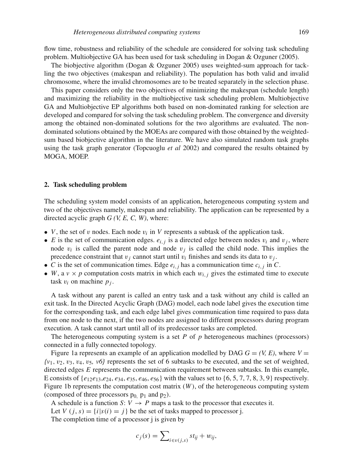flow time, robustness and reliability of the schedule are considered for solving task scheduling problem. Multiobjective GA has been used for task scheduling in Dogan & Ozguner (2005).

The biobjective algorithm (Dogan & Ozguner 2005) uses weighted-sum approach for tackling the two objectives (makespan and reliability). The population has both valid and invalid chromosome, where the invalid chromosomes are to be treated separately in the selection phase.

This paper considers only the two objectives of minimizing the makespan (schedule length) and maximizing the reliability in the multiobjective task scheduling problem. Multiobjective GA and Multiobjective EP algorithms both based on non-dominated ranking for selection are developed and compared for solving the task scheduling problem. The convergence and diversity among the obtained non-dominated solutions for the two algorithms are evaluated. The nondominated solutions obtained by the MOEAs are compared with those obtained by the weightedsum based biobjective algorithm in the literature. We have also simulated random task graphs using the task graph generator (Topcuoglu *et al* 2002) and compared the results obtained by MOGA, MOEP.

#### **2. Task scheduling problem**

The scheduling system model consists of an application, heterogeneous computing system and two of the objectives namely, makespan and reliability. The application can be represented by a directed acyclic graph *G (V, E, C, W)*, where:

- *V*, the set of *v* nodes. Each node  $v_i$  in *V* represents a subtask of the application task.
- *E* is the set of communication edges.  $e_{i,j}$  is a directed edge between nodes  $v_i$  and  $v_j$ , where node  $v_i$  is called the parent node and node  $v_j$  is called the child node. This implies the precedence constraint that  $v_i$  cannot start until  $v_i$  finishes and sends its data to  $v_i$ .
- *C* is the set of communication times. Edge  $e_i$ , *j* has a communication time  $c_{i,j}$  in *C*.
- *W*, a  $v \times p$  computation costs matrix in which each  $w_{i,j}$  gives the estimated time to execute task  $v_i$  on machine  $p_i$ .

A task without any parent is called an entry task and a task without any child is called an exit task. In the Directed Acyclic Graph (DAG) model, each node label gives the execution time for the corresponding task, and each edge label gives communication time required to pass data from one node to the next, if the two nodes are assigned to different processors during program execution. A task cannot start until all of its predecessor tasks are completed.

The heterogeneous computing system is a set *P* of *p* heterogeneous machines (processors) connected in a fully connected topology.

Figure 1a represents an example of an application modelled by DAG  $G = (V, E)$ , where  $V =$  $\{v_1, v_2, v_3, v_4, v_5, v_6\}$  represents the set of 6 subtasks to be executed, and the set of weighted, directed edges *E* represents the communication requirement between subtasks. In this example, E consists of  $\{e_{12}e_{13}, e_{24}, e_{34}, e_{35}, e_{46}, e_{56}\}$  with the values set to  $\{6, 5, 7, 7, 8, 3, 9\}$  respectively. Figure 1b represents the computation cost matrix (*W*), of the heterogeneous computing system (composed of three processors  $p_0$ ,  $p_1$  and  $p_2$ ).

A schedule is a function *S*:  $V \rightarrow P$  maps a task to the processor that executes it. Let  $V(j, s) = \{i | s(i) = j\}$  be the set of tasks mapped to processor j. The completion time of a processor j is given by

$$
c_j(s) = \sum_{i \in v(j,s)} st_{ij} + w_{ij},
$$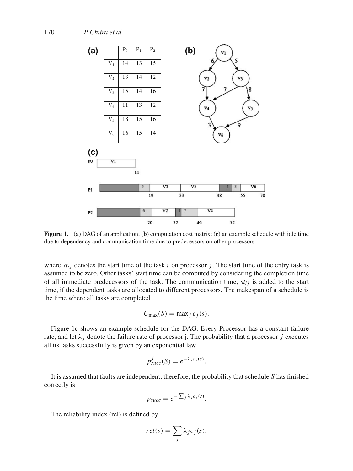

**Figure 1.** (**a**) DAG of an application; (**b**) computation cost matrix; (**c**) an example schedule with idle time due to dependency and communication time due to predecessors on other processors.

where  $st_{ij}$  denotes the start time of the task *i* on processor *j*. The start time of the entry task is assumed to be zero. Other tasks' start time can be computed by considering the completion time of all immediate predecessors of the task. The communication time,  $st_{ij}$  is added to the start time, if the dependent tasks are allocated to different processors. The makespan of a schedule is the time where all tasks are completed.

$$
C_{\max}(S) = \max_j c_j(s).
$$

Figure 1c shows an example schedule for the DAG. Every Processor has a constant failure rate, and let  $\lambda_j$  denote the failure rate of processor *j*. The probability that a processor *j* executes all its tasks successfully is given by an exponential law

$$
p_{succ}^j(S) = e^{-\lambda_j c_j(s)}.
$$

It is assumed that faults are independent, therefore, the probability that schedule *S* has finished correctly is

$$
p_{succ} = e^{-\sum_j \lambda_j c_j(s)}.
$$

The reliability index (rel) is defined by

$$
rel(s) = \sum_j \lambda_j c_j(s).
$$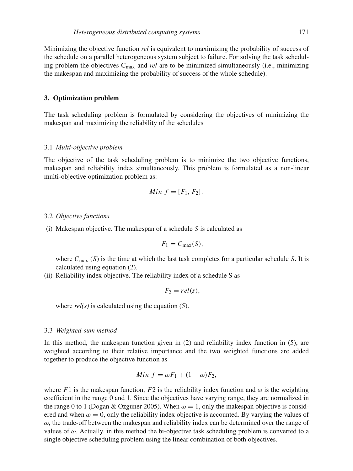Minimizing the objective function *rel* is equivalent to maximizing the probability of success of the schedule on a parallel heterogeneous system subject to failure. For solving the task scheduling problem the objectives Cmax and *rel* are to be minimized simultaneously (i.e., minimizing the makespan and maximizing the probability of success of the whole schedule).

### **3. Optimization problem**

The task scheduling problem is formulated by considering the objectives of minimizing the makespan and maximizing the reliability of the schedules

## 3.1 *Multi-objective problem*

The objective of the task scheduling problem is to minimize the two objective functions, makespan and reliability index simultaneously. This problem is formulated as a non-linear multi-objective optimization problem as:

$$
Min f = [F_1, F_2].
$$

#### 3.2 *Objective functions*

(i) Makespan objective. The makespan of a schedule *S* is calculated as

$$
F_1=C_{\max}(S),
$$

where  $C_{\text{max}}$  (*S*) is the time at which the last task completes for a particular schedule *S*. It is calculated using equation (2).

(ii) Reliability index objective. The reliability index of a schedule S as

$$
F_2 = rel(s),
$$

where *rel(s)* is calculated using the equation (5).

#### 3.3 *Weighted-sum method*

In this method, the makespan function given in (2) and reliability index function in (5), are weighted according to their relative importance and the two weighted functions are added together to produce the objective function as

$$
Min f = \omega F_1 + (1 - \omega) F_2,
$$

where *F*1 is the makespan function, *F*2 is the reliability index function and  $\omega$  is the weighting coefficient in the range 0 and 1. Since the objectives have varying range, they are normalized in the range 0 to 1 (Dogan & Ozguner 2005). When  $\omega = 1$ , only the makespan objective is considered and when  $\omega = 0$ , only the reliability index objective is accounted. By varying the values of  $\omega$ , the trade-off between the makespan and reliability index can be determined over the range of values of  $\omega$ . Actually, in this method the bi-objective task scheduling problem is converted to a single objective scheduling problem using the linear combination of both objectives.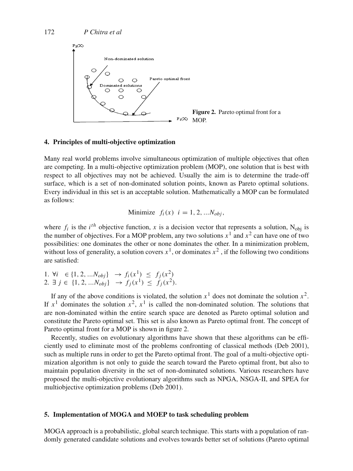

## **4. Principles of multi-objective optimization**

Many real world problems involve simultaneous optimization of multiple objectives that often are competing. In a multi-objective optimization problem (MOP), one solution that is best with respect to all objectives may not be achieved. Usually the aim is to determine the trade-off surface, which is a set of non-dominated solution points, known as Pareto optimal solutions. Every individual in this set is an acceptable solution. Mathematically a MOP can be formulated as follows:

Minimize 
$$
f_i(x)
$$
  $i = 1, 2, ...N_{obj}$ ,

where  $f_i$  is the *i*<sup>th</sup> objective function, *x* is a decision vector that represents a solution, N<sub>obj</sub> is the number of objectives. For a MOP problem, any two solutions  $x^1$  and  $x^2$  can have one of two possibilities: one dominates the other or none dominates the other. In a minimization problem, without loss of generality, a solution covers  $x^1$ , or dominates  $x^2$ , if the following two conditions are satisfied:

1.  $\forall i \in \{1, 2, ...N_{obj}\} \rightarrow f_i(x^1) \leq f_j(x^2)$ 2.  $\exists j \in \{1, 2, ...N_{obj}\} \rightarrow f_j(x^1) \leq f_j(x^2)$ .

If any of the above conditions is violated, the solution  $x^1$  does not dominate the solution  $x^2$ . If  $x^1$  dominates the solution  $x^2$ ,  $x^1$  is called the non-dominated solution. The solutions that are non-dominated within the entire search space are denoted as Pareto optimal solution and constitute the Pareto optimal set. This set is also known as Pareto optimal front. The concept of Pareto optimal front for a MOP is shown in figure 2.

Recently, studies on evolutionary algorithms have shown that these algorithms can be efficiently used to eliminate most of the problems confronting of classical methods (Deb 2001), such as multiple runs in order to get the Pareto optimal front. The goal of a multi-objective optimization algorithm is not only to guide the search toward the Pareto optimal front, but also to maintain population diversity in the set of non-dominated solutions. Various researchers have proposed the multi-objective evolutionary algorithms such as NPGA, NSGA-II, and SPEA for multiobjective optimization problems (Deb 2001).

## **5. Implementation of MOGA and MOEP to task scheduling problem**

MOGA approach is a probabilistic, global search technique. This starts with a population of randomly generated candidate solutions and evolves towards better set of solutions (Pareto optimal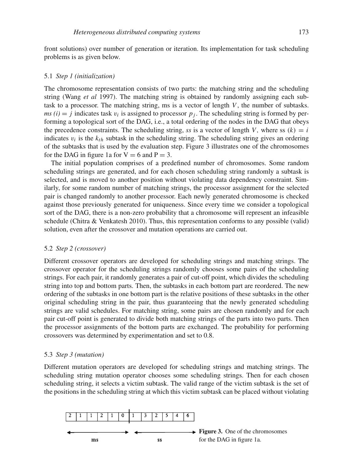front solutions) over number of generation or iteration. Its implementation for task scheduling problems is as given below.

#### 5.1 *Step 1 (initialization)*

The chromosome representation consists of two parts: the matching string and the scheduling string (Wang *et al* 1997). The matching string is obtained by randomly assigning each subtask to a processor. The matching string, ms is a vector of length *V*, the number of subtasks.  $ms (i) = j$  indicates task  $v_i$  is assigned to processor  $p_i$ . The scheduling string is formed by performing a topological sort of the DAG, i.e., a total ordering of the nodes in the DAG that obeys the precedence constraints. The scheduling string, *ss* is a vector of length *V*, where ss  $(k) = i$ indicates  $v_i$  is the  $k_{th}$  subtask in the scheduling string. The scheduling string gives an ordering of the subtasks that is used by the evaluation step. Figure 3 illustrates one of the chromosomes for the DAG in figure 1a for  $V = 6$  and  $P = 3$ .

The initial population comprises of a predefined number of chromosomes. Some random scheduling strings are generated, and for each chosen scheduling string randomly a subtask is selected, and is moved to another position without violating data dependency constraint. Similarly, for some random number of matching strings, the processor assignment for the selected pair is changed randomly to another processor. Each newly generated chromosome is checked against those previously generated for uniqueness. Since every time we consider a topological sort of the DAG, there is a non-zero probability that a chromosome will represent an infeasible schedule (Chitra & Venkatesh 2010). Thus, this representation conforms to any possible (valid) solution, even after the crossover and mutation operations are carried out.

## 5.2 *Step 2 (crossover)*

Different crossover operators are developed for scheduling strings and matching strings. The crossover operator for the scheduling strings randomly chooses some pairs of the scheduling strings. For each pair, it randomly generates a pair of cut-off point, which divides the scheduling string into top and bottom parts. Then, the subtasks in each bottom part are reordered. The new ordering of the subtasks in one bottom part is the relative positions of these subtasks in the other original scheduling string in the pair, thus guaranteeing that the newly generated scheduling strings are valid schedules. For matching string, some pairs are chosen randomly and for each pair cut-off point is generated to divide both matching strings of the parts into two parts. Then the processor assignments of the bottom parts are exchanged. The probability for performing crossovers was determined by experimentation and set to 0.8.

### 5.3 *Step 3 (mutation)*

Different mutation operators are developed for scheduling strings and matching strings. The scheduling string mutation operator chooses some scheduling strings. Then for each chosen scheduling string, it selects a victim subtask. The valid range of the victim subtask is the set of the positions in the scheduling string at which this victim subtask can be placed without violating

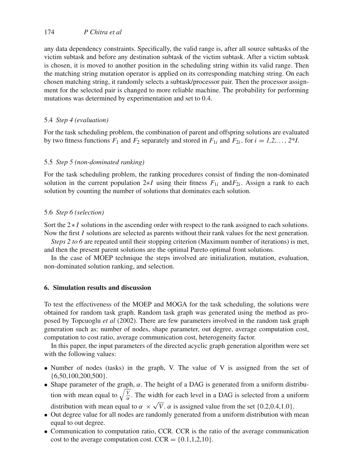any data dependency constraints. Specifically, the valid range is, after all source subtasks of the victim subtask and before any destination subtask of the victim subtask. After a victim subtask is chosen, it is moved to another position in the scheduling string within its valid range. Then the matching string mutation operator is applied on its corresponding matching string. On each chosen matching string, it randomly selects a subtask/processor pair. Then the processor assignment for the selected pair is changed to more reliable machine. The probability for performing mutations was determined by experimentation and set to 0.4.

# 5.4 *Step 4 (evaluation)*

For the task scheduling problem, the combination of parent and offspring solutions are evaluated by two fitness functions  $F_1$  and  $F_2$  separately and stored in  $F_{1i}$  and  $F_{2i}$ , for  $i = 1, 2, \ldots, 2^*I$ .

## 5.5 *Step 5 (non-dominated ranking)*

For the task scheduling problem, the ranking procedures consist of finding the non-dominated solution in the current population 2∗*I* using their fitness *F*1*<sup>i</sup>* and*F*2*<sup>i</sup>* . Assign a rank to each solution by counting the number of solutions that dominates each solution.

# 5.6 *Step 6 (selection)*

Sort the 2<sup>∗</sup> *I* solutions in the ascending order with respect to the rank assigned to each solutions. Now the first *I* solutions are selected as parents without their rank values for the next generation.

*Steps 2 to 6* are repeated until their stopping criterion (Maximum number of iterations) is met, and then the present parent solutions are the optimal Pareto optimal front solutions.

In the case of MOEP technique the steps involved are initialization, mutation, evaluation, non-dominated solution ranking, and selection.

## **6. Simulation results and discussion**

To test the effectiveness of the MOEP and MOGA for the task scheduling, the solutions were obtained for random task graph. Random task graph was generated using the method as proposed by Topcuoglu *et al* (2002). There are few parameters involved in the random task graph generation such as: number of nodes, shape parameter, out degree, average computation cost, computation to cost ratio, average communication cost, heterogeneity factor.

In this paper, the input parameters of the directed acyclic graph generation algorithm were set with the following values:

- Number of nodes (tasks) in the graph, V. The value of V is assigned from the set of  $\{6,50,100,200,500\}.$
- Shape parameter of the graph,  $\alpha$ . The height of a DAG is generated from a uniform distribution with mean equal to  $\sqrt{\frac{V}{\alpha}}$ . The width for each level in a DAG is selected from a uniform distribution with mean equal to  $\alpha \times \sqrt{V}$ .  $\alpha$  is assigned value from the set {0.2,0.4,1.0}.
- Out degree value for all nodes are randomly generated from a uniform distribution with mean equal to out degree.
- Communication to computation ratio, CCR. CCR is the ratio of the average communication cost to the average computation cost.  $CCR = \{0.1, 1, 2, 10\}.$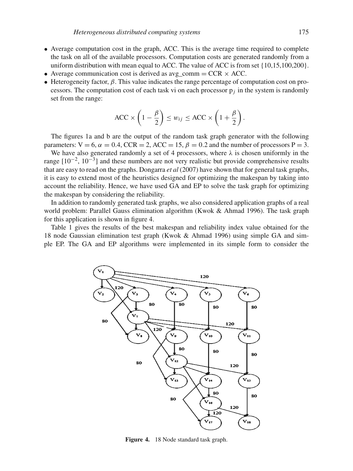- Average computation cost in the graph, ACC. This is the average time required to complete the task on all of the available processors. Computation costs are generated randomly from a uniform distribution with mean equal to ACC. The value of ACC is from set {10,15,100,200}.
- Average communication cost is derived as avg comm  $= CCR \times ACC$ .
- Heterogeneity factor,  $\beta$ . This value indicates the range percentage of computation cost on processors. The computation cost of each task vi on each processor  $p_i$  in the system is randomly set from the range:

$$
\text{ACC} \times \left(1 - \frac{\beta}{2}\right) \leq w_{ij} \leq \text{ACC} \times \left(1 + \frac{\beta}{2}\right).
$$

The figures 1a and b are the output of the random task graph generator with the following parameters:  $V = 6$ ,  $\alpha = 0.4$ , CCR = 2, ACC = 15,  $\beta = 0.2$  and the number of processors P = 3.

We have also generated randomly a set of 4 processors, where  $\lambda$  is chosen uniformly in the range  $[10^{-2}, 10^{-3}]$  and these numbers are not very realistic but provide comprehensive results that are easy to read on the graphs. Dongarra *et al* (2007) have shown that for general task graphs, it is easy to extend most of the heuristics designed for optimizing the makespan by taking into account the reliability. Hence, we have used GA and EP to solve the task graph for optimizing the makespan by considering the reliability.

In addition to randomly generated task graphs, we also considered application graphs of a real world problem: Parallel Gauss elimination algorithm (Kwok & Ahmad 1996). The task graph for this application is shown in figure 4.

Table 1 gives the results of the best makespan and reliability index value obtained for the 18 node Gaussian elimination test graph (Kwok & Ahmad 1996) using simple GA and simple EP. The GA and EP algorithms were implemented in its simple form to consider the



**Figure 4.** 18 Node standard task graph.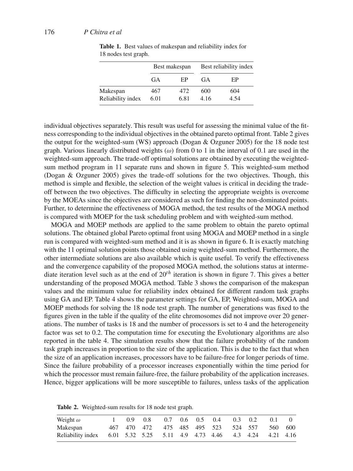|                   |      | Best makespan | Best reliability index |      |  |
|-------------------|------|---------------|------------------------|------|--|
|                   | GA   | ЕP            | GA                     | ЕP   |  |
| Makespan          | 467  | 472           | 600                    | 604  |  |
| Reliability index | 6.01 | 6.81          | 4.16                   | 4.54 |  |

**Table 1.** Best values of makespan and reliability index for 18 nodes test graph.

individual objectives separately. This result was useful for assessing the minimal value of the fitness corresponding to the individual objectives in the obtained pareto optimal front. Table 2 gives the output for the weighted-sum (WS) approach (Dogan & Ozguner 2005) for the 18 node test graph. Various linearly distributed weights  $(\omega)$  from 0 to 1 in the interval of 0.1 are used in the weighted-sum approach. The trade-off optimal solutions are obtained by executing the weightedsum method program in 11 separate runs and shown in figure 5. This weighted-sum method (Dogan & Ozguner 2005) gives the trade-off solutions for the two objectives. Though, this method is simple and flexible, the selection of the weight values is critical in deciding the tradeoff between the two objectives. The difficulty in selecting the appropriate weights is overcome by the MOEAs since the objectives are considered as such for finding the non-dominated points. Further, to determine the effectiveness of MOGA method, the test results of the MOGA method is compared with MOEP for the task scheduling problem and with weighted-sum method.

MOGA and MOEP methods are applied to the same problem to obtain the pareto optimal solutions. The obtained global Pareto optimal front using MOGA and MOEP method in a single run is compared with weighted-sum method and it is as shown in figure 6. It is exactly matching with the 11 optimal solution points those obtained using weighted-sum method. Furthermore, the other intermediate solutions are also available which is quite useful. To verify the effectiveness and the convergence capability of the proposed MOGA method, the solutions status at intermediate iteration level such as at the end of 20*th* iteration is shown in figure 7. This gives a better understanding of the proposed MOGA method. Table 3 shows the comparison of the makespan values and the minimum value for reliability index obtained for different random task graphs using GA and EP. Table 4 shows the parameter settings for GA, EP, Weighted-sum, MOGA and MOEP methods for solving the 18 node test graph. The number of generations was fixed to the figures given in the table if the quality of the elite chromosomes did not improve over 20 generations. The number of tasks is 18 and the number of processors is set to 4 and the heterogeneity factor was set to 0.2. The computation time for executing the Evolutionary algorithms are also reported in the table 4. The simulation results show that the failure probability of the random task graph increases in proportion to the size of the application. This is due to the fact that when the size of an application increases, processors have to be failure-free for longer periods of time. Since the failure probability of a processor increases exponentially within the time period for which the processor must remain failure-free, the failure probability of the application increases. Hence, bigger applications will be more susceptible to failures, unless tasks of the application

**Table 2.** Weighted-sum results for 18 node test graph.

| Weight $\omega$                                                        |  | $0.9 \quad 0.8$ |  |  | $0.7$ $0.6$ $0.5$ $0.4$ $0.3$ $0.2$ | 0.1                                         | $\bigcirc$ |
|------------------------------------------------------------------------|--|-----------------|--|--|-------------------------------------|---------------------------------------------|------------|
| Makespan                                                               |  |                 |  |  |                                     | 467 470 472 475 485 495 523 524 557 560 600 |            |
| Reliability index 6.01 5.32 5.25 5.11 4.9 4.73 4.46 4.3 4.24 4.21 4.16 |  |                 |  |  |                                     |                                             |            |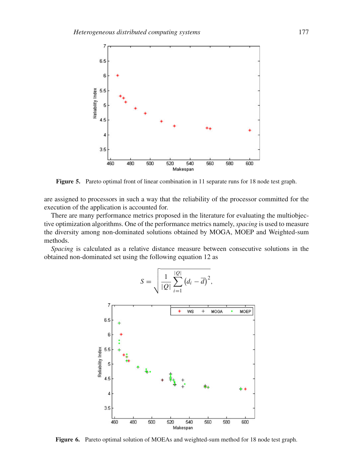

**Figure 5.** Pareto optimal front of linear combination in 11 separate runs for 18 node test graph.

are assigned to processors in such a way that the reliability of the processor committed for the execution of the application is accounted for.

There are many performance metrics proposed in the literature for evaluating the multiobjective optimization algorithms. One of the performance metrics namely, *spacing* is used to measure the diversity among non-dominated solutions obtained by MOGA, MOEP and Weighted-sum methods.

*Spacing* is calculated as a relative distance measure between consecutive solutions in the obtained non-dominated set using the following equation 12 as



**Figure 6.** Pareto optimal solution of MOEAs and weighted-sum method for 18 node test graph.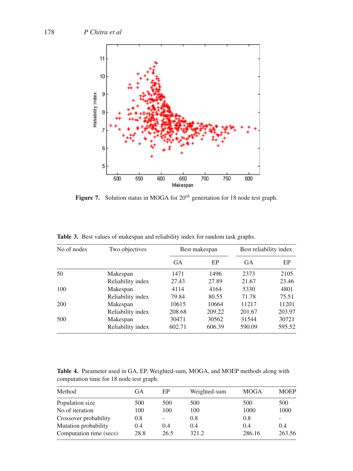

Figure 7. Solution status in MOGA for  $20^{th}$  genertation for 18 node test graph.

| No.of nodes | Two objectives    |           | Best makespan | Best reliability index |        |  |
|-------------|-------------------|-----------|---------------|------------------------|--------|--|
|             |                   | <b>GA</b> | EP            | <b>GA</b>              | EP     |  |
| 50          | Makespan          | 1471      | 1496          | 2373                   | 2105   |  |
|             | Reliability index | 27.43     | 27.89         | 21.67                  | 23.46  |  |
| 100         | Makespan          | 4114      | 4164          | 5330                   | 4801   |  |
|             | Reliability index | 79.84     | 80.55         | 71.78                  | 75.51  |  |
| 200         | Makespan          | 10615     | 10664         | 11217                  | 11201  |  |
|             | Reliability index | 208.68    | 209.22        | 201.67                 | 203.97 |  |
| 500         | Makespan          | 30471     | 30562         | 31544                  | 30721  |  |
|             | Reliability index | 602.71    | 606.39        | 590.09                 | 595.52 |  |

**Table 3.** Best values of makespan and reliability index for random task graphs.

**Table 4.** Parameter used in GA, EP, Weighted-sum, MOGA, and MOEP methods along with computation time for 18 node test graph.

| Method                  | GА   | EP                       | Weighted-sum | <b>MOGA</b> | <b>MOEP</b> |  |
|-------------------------|------|--------------------------|--------------|-------------|-------------|--|
| Population size         | 500  | 500                      | 500          | 500         | 500         |  |
| No.of iteration         | 100  | 100                      | 100          | 1000        | 1000        |  |
| Crossover probability   | 0.8  | $\overline{\phantom{0}}$ | 0.8          | 0.8         | -           |  |
| Mutation probability    | 0.4  | 0.4                      | 0.4          | 0.4         | 0.4         |  |
| Computation time (secs) | 28.8 | 26.5                     | 321.2        | 286.16      | 263.56      |  |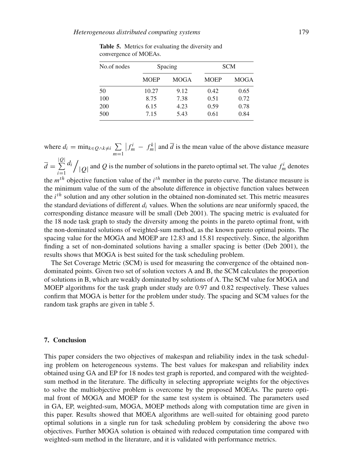| No.of nodes |             | Spacing     | <b>SCM</b>  |      |  |  |
|-------------|-------------|-------------|-------------|------|--|--|
|             | <b>MOEP</b> | <b>MOGA</b> | <b>MOEP</b> | MOGA |  |  |
| 50          | 10.27       | 9.12        | 0.42        | 0.65 |  |  |
| 100         | 8.75        | 7.38        | 0.51        | 0.72 |  |  |
| 200         | 6.15        | 4.23        | 0.59        | 0.78 |  |  |
| 500         | 7.15        | 5.43        | 0.61        | 0.84 |  |  |

**Table 5.** Metrics for evaluating the diversity and convergence of MOEAs.

where  $d_i = \min_{k \in Q \wedge k \neq i} \sum_{m=1}$  $|f_m^i - f_m^k|$  and  $\overline{d}$  is the mean value of the above distance measure |

 $d =$  $\sum$  $\sum_{n=1}^{Q} d_i / |Q|$  and *Q* is the number of solutions in the pareto optimal set. The value  $f_m^i$  denotes the  $m^{th}$  objective function value of the *i*<sup>th</sup> member in the pareto curve. The distance measure is

the minimum value of the sum of the absolute difference in objective function values between the *ith* solution and any other solution in the obtained non-dominated set. This metric measures the standard deviations of different *di* values. When the solutions are near uniformly spaced, the corresponding distance measure will be small (Deb 2001). The spacing metric is evaluated for the 18 node task graph to study the diversity among the points in the pareto optimal front, with the non-dominated solutions of weighted-sum method, as the known pareto optimal points. The spacing value for the MOGA and MOEP are 12.83 and 15.81 respectively. Since, the algorithm finding a set of non-dominated solutions having a smaller spacing is better (Deb 2001), the results shows that MOGA is best suited for the task scheduling problem.

The Set Coverage Metric (SCM) is used for measuring the convergence of the obtained nondominated points. Given two set of solution vectors A and B, the SCM calculates the proportion of solutions in B, which are weakly dominated by solutions of A. The SCM value for MOGA and MOEP algorithms for the task graph under study are 0.97 and 0.82 respectively. These values confirm that MOGA is better for the problem under study. The spacing and SCM values for the random task graphs are given in table 5.

### **7. Conclusion**

This paper considers the two objectives of makespan and reliability index in the task scheduling problem on heterogeneous systems. The best values for makespan and reliability index obtained using GA and EP for 18 nodes test graph is reported, and compared with the weightedsum method in the literature. The difficulty in selecting appropriate weights for the objectives to solve the multiobjective problem is overcome by the proposed MOEAs. The pareto optimal front of MOGA and MOEP for the same test system is obtained. The parameters used in GA, EP, weighted-sum, MOGA, MOEP methods along with computation time are given in this paper. Results showed that MOEA algorithms are well-suited for obtaining good pareto optimal solutions in a single run for task scheduling problem by considering the above two objectives. Further MOGA solution is obtained with reduced computation time compared with weighted-sum method in the literature, and it is validated with performance metrics.